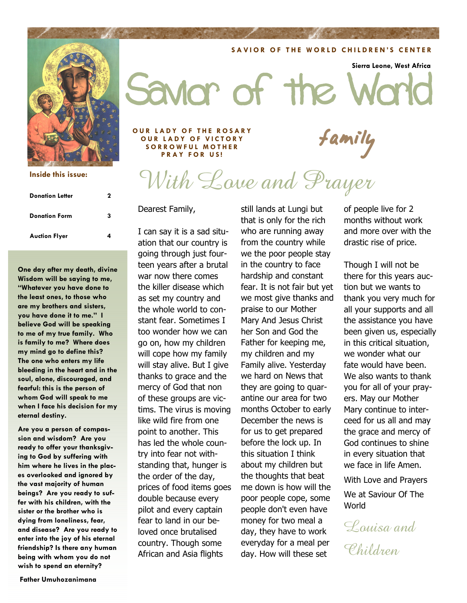#### **Inside this issue:**

| <b>Donation Letter</b> | 2 |
|------------------------|---|
| <b>Donation Form</b>   | 3 |
| <b>Auction Flyer</b>   | 4 |

**One day after my death, divine Wisdom will be saying to me, "Whatever you have done to the least ones, to those who are my brothers and sisters, you have done it to me." I believe God will be speaking to me of my true family. Who is family to me? Where does my mind go to define this? The one who enters my life bleeding in the heart and in the soul, alone, discouraged, and fearful: this is the person of whom God will speak to me when I face his decision for my eternal destiny.** 

**Are you a person of compassion and wisdom? Are you ready to offer your thanksgiving to God by suffering with him where he lives in the places overlooked and ignored by the vast majority of human beings? Are you ready to suffer with his children, with the sister or the brother who is dying from loneliness, fear, and disease? Are you ready to enter into the joy of his eternal friendship? Is there any human being with whom you do not wish to spend an eternity?** 

#### **Father Umuhozanimana**

**SAVIOR OF THE WORLD CHILDREN'S CENTER** 

**Sierra Leone, West Africa** 

Savior of the

OUR LADY OF THE ROSARY<br>
OUR LADY OF VICTORY<br>
SORROWFUL MOTHER **SORROWFUL MOTHER OUR LADY OF VICTORY SORROWFUL MOTHER PRAY FOR US!** 

# With Love and Prayer

Dearest Family,

I can say it is a sad situation that our country is going through just fourteen years after a brutal war now there comes the killer disease which as set my country and the whole world to constant fear. Sometimes I too wonder how we can go on, how my children will cope how my family will stay alive. But I give thanks to grace and the mercy of God that non of these groups are victims. The virus is moving like wild fire from one point to another. This has led the whole country into fear not withstanding that, hunger is the order of the day, prices of food items goes double because every pilot and every captain fear to land in our beloved once brutalised country. Though some African and Asia flights

still lands at Lungi but that is only for the rich who are running away from the country while we the poor people stay in the country to face hardship and constant fear. It is not fair but yet we most give thanks and praise to our Mother Mary And Jesus Christ her Son and God the Father for keeping me, my children and my Family alive. Yesterday we hard on News that they are going to quarantine our area for two months October to early December the news is for us to get prepared before the lock up. In this situation I think about my children but the thoughts that beat me down is how will the poor people cope, some people don't even have money for two meal a day, they have to work everyday for a meal per day. How will these set

of people live for 2 months without work and more over with the drastic rise of price.

Though I will not be there for this years auction but we wants to thank you very much for all your supports and all the assistance you have been given us, especially in this critical situation, we wonder what our fate would have been. We also wants to thank you for all of your prayers. May our Mother Mary continue to interceed for us all and may the grace and mercy of God continues to shine in every situation that we face in life Amen.

With Love and Prayers

We at Saviour Of The World

Louisa and Children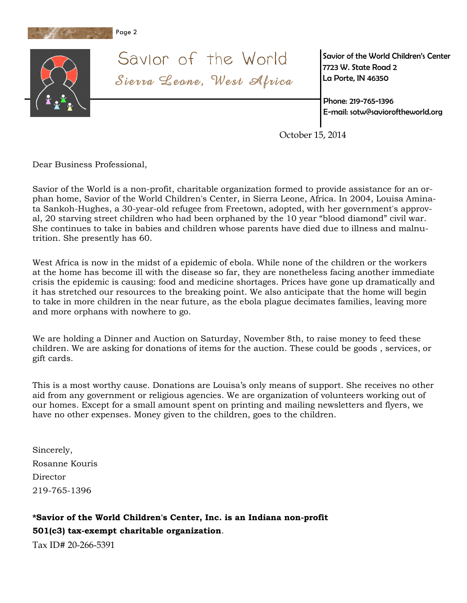



Savior of the World Sierra Leone, West Africa *Savior of the World Children's Center 7723 W. State Road 2 La Porte, IN 46350* 

*Phone: 219-765-1396 E-mail: sotw@savioroftheworld.org* 

October 15, 2014

Dear Business Professional,

Savior of the World is a non-profit, charitable organization formed to provide assistance for an orphan home, Savior of the World Children's Center, in Sierra Leone, Africa. In 2004, Louisa Aminata Sankoh-Hughes, a 30-year-old refugee from Freetown, adopted, with her government's approval, 20 starving street children who had been orphaned by the 10 year "blood diamond" civil war. She continues to take in babies and children whose parents have died due to illness and malnutrition. She presently has 60.

West Africa is now in the midst of a epidemic of ebola. While none of the children or the workers at the home has become ill with the disease so far, they are nonetheless facing another immediate crisis the epidemic is causing: food and medicine shortages. Prices have gone up dramatically and it has stretched our resources to the breaking point. We also anticipate that the home will begin to take in more children in the near future, as the ebola plague decimates families, leaving more and more orphans with nowhere to go.

We are holding a Dinner and Auction on Saturday, November 8th, to raise money to feed these children. We are asking for donations of items for the auction. These could be goods , services, or gift cards.

This is a most worthy cause. Donations are Louisa's only means of support. She receives no other aid from any government or religious agencies. We are organization of volunteers working out of our homes. Except for a small amount spent on printing and mailing newsletters and flyers, we have no other expenses. Money given to the children, goes to the children.

Sincerely, Rosanne Kouris Director 219-765-1396

### **\*Savior of the World Children's Center, Inc. is an Indiana non-profit 501(c3) tax-exempt charitable organization**.

Tax ID# 20-266-5391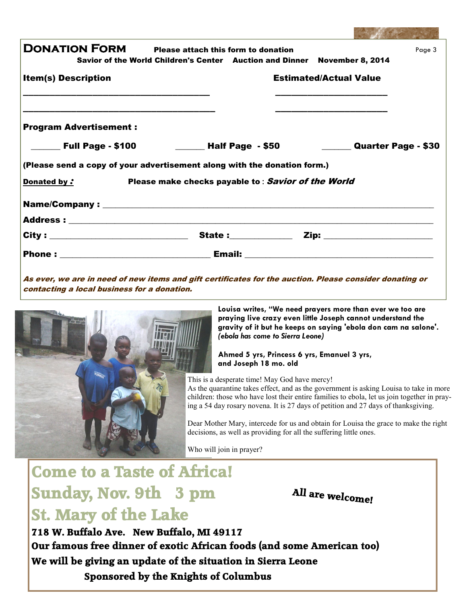| DONATION FORM                                                                         | Please attach this form to donation<br>Savior of the World Children's Center Auction and Dinner November 8, 2014 |                               | Page 3 |
|---------------------------------------------------------------------------------------|------------------------------------------------------------------------------------------------------------------|-------------------------------|--------|
| <b>Item(s) Description</b>                                                            |                                                                                                                  | <b>Estimated/Actual Value</b> |        |
| <b>Program Advertisement:</b><br>______ Full Page - \$100 _________ Half Page  - \$50 |                                                                                                                  | Quarter Page - \$30           |        |
| (Please send a copy of your advertisement along with the donation form.)              |                                                                                                                  |                               |        |
| Donated by:                                                                           | Please make checks payable to: Savior of the World                                                               |                               |        |
|                                                                                       |                                                                                                                  |                               |        |
|                                                                                       |                                                                                                                  |                               |        |
|                                                                                       |                                                                                                                  |                               |        |
|                                                                                       |                                                                                                                  |                               |        |
|                                                                                       |                                                                                                                  |                               |        |

As ever, we are in need of new items and gift certificates for the auction. Please consider donating or contacting a local business for a donation.



**Louisa writes, "We need prayers more than ever we too are praying live crazy even little Joseph cannot understand the gravity of it but he keeps on saying 'ebola don cam na salone'.**  *(ebola has come to Sierra Leone)* 

Lincoln 1

**Ahmed 5 yrs, Princess 6 yrs, Emanuel 3 yrs, and Joseph 18 mo. old** 

This is a desperate time! May God have mercy!

As the quarantine takes effect, and as the government is asking Louisa to take in more children: those who have lost their entire families to ebola, let us join together in praying a 54 day rosary novena. It is 27 days of petition and 27 days of thanksgiving.

Dear Mother Mary, intercede for us and obtain for Louisa the grace to make the right decisions, as well as providing for all the suffering little ones.

Who will join in prayer?

### **Come to a Taste of Africa! Sunday, Nov. 9th 3 pm St. Mary of the Lake**

**All are welcome!**

**718 W. Buffalo Ave. New Buffalo, MI 49117 Our famous free dinner of exotic African foods (and some American too) We will be giving an update of the situation in Sierra Leone Sponsored by the Knights of Columbus**